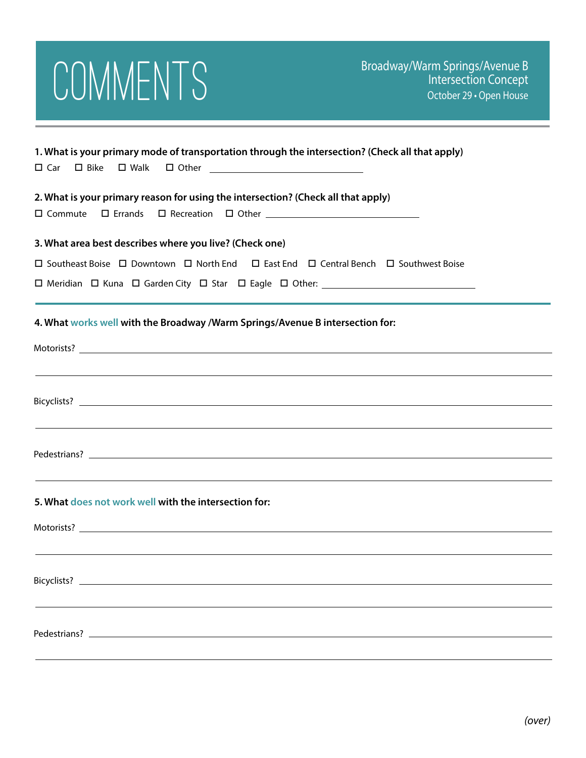

| 1. What is your primary mode of transportation through the intersection? (Check all that apply)     |
|-----------------------------------------------------------------------------------------------------|
| 2. What is your primary reason for using the intersection? (Check all that apply)<br>$\Box$ Commute |
| 3. What area best describes where you live? (Check one)                                             |
| □ Southeast Boise □ Downtown □ North End □ East End □ Central Bench □ Southwest Boise               |
|                                                                                                     |
| 4. What works well with the Broadway /Warm Springs/Avenue B intersection for:                       |
|                                                                                                     |
|                                                                                                     |
| ,我们也不会有什么。""我们的人,我们也不会有什么?""我们的人,我们也不会有什么?""我们的人,我们也不会有什么?""我们的人,我们也不会有什么?""我们的人                    |
| 5. What does not work well with the intersection for:                                               |
|                                                                                                     |
|                                                                                                     |
|                                                                                                     |
|                                                                                                     |